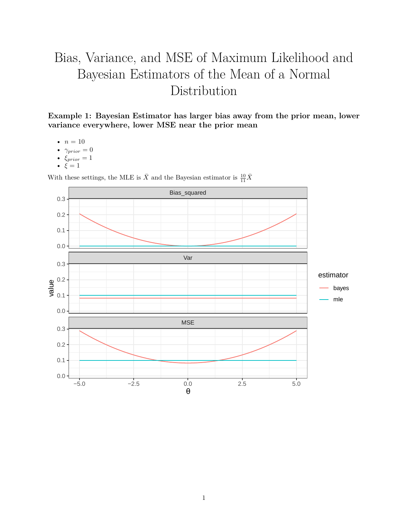## Bias, Variance, and MSE of Maximum Likelihood and Bayesian Estimators of the Mean of a Normal Distribution

**Example 1: Bayesian Estimator has larger bias away from the prior mean, lower variance everywhere, lower MSE near the prior mean**

- $n = 10$
- $\gamma_{prior} = 0$
- *ξprior* = 1
- $\xi = 1$

With these settings, the MLE is  $\bar{X}$  and the Bayesian estimator is  $\frac{10}{11}\bar{X}$ 

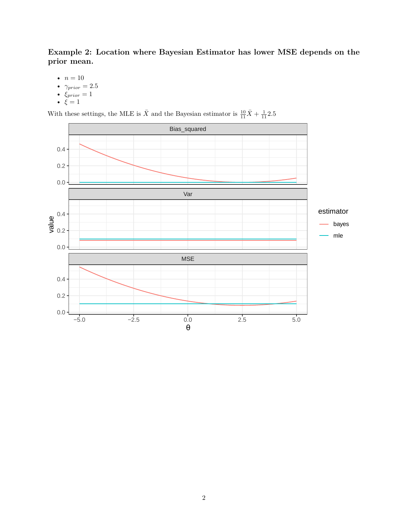**Example 2: Location where Bayesian Estimator has lower MSE depends on the prior mean.**

- $n = 10$ •  $\gamma_{prior} = 2.5$
- $\xi_{prior} = 1$
- $\xi = 1$

With these settings, the MLE is  $\bar{X}$  and the Bayesian estimator is  $\frac{10}{11}\bar{X} + \frac{1}{11}2.5$